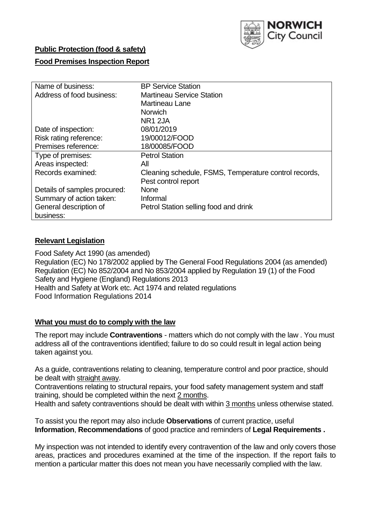

## **Public Protection (food & safety)**

### **Food Premises Inspection Report**

| Name of business:            | <b>BP Service Station</b>                             |  |  |  |  |  |
|------------------------------|-------------------------------------------------------|--|--|--|--|--|
| Address of food business:    | <b>Martineau Service Station</b>                      |  |  |  |  |  |
|                              | Martineau Lane                                        |  |  |  |  |  |
|                              | <b>Norwich</b>                                        |  |  |  |  |  |
|                              | NR <sub>1</sub> 2JA                                   |  |  |  |  |  |
| Date of inspection:          | 08/01/2019                                            |  |  |  |  |  |
| Risk rating reference:       | 19/00012/FOOD                                         |  |  |  |  |  |
| Premises reference:          | 18/00085/FOOD                                         |  |  |  |  |  |
| Type of premises:            | <b>Petrol Station</b>                                 |  |  |  |  |  |
| Areas inspected:             | All                                                   |  |  |  |  |  |
| Records examined:            | Cleaning schedule, FSMS, Temperature control records, |  |  |  |  |  |
|                              | Pest control report                                   |  |  |  |  |  |
| Details of samples procured: | <b>None</b>                                           |  |  |  |  |  |
| Summary of action taken:     | Informal                                              |  |  |  |  |  |
| General description of       | Petrol Station selling food and drink                 |  |  |  |  |  |
| business:                    |                                                       |  |  |  |  |  |

#### **Relevant Legislation**

Food Safety Act 1990 (as amended) Regulation (EC) No 178/2002 applied by The General Food Regulations 2004 (as amended) Regulation (EC) No 852/2004 and No 853/2004 applied by Regulation 19 (1) of the Food Safety and Hygiene (England) Regulations 2013 Health and Safety at Work etc. Act 1974 and related regulations Food Information Regulations 2014

#### **What you must do to comply with the law**

The report may include **Contraventions** - matters which do not comply with the law . You must address all of the contraventions identified; failure to do so could result in legal action being taken against you.

As a guide, contraventions relating to cleaning, temperature control and poor practice, should be dealt with straight away.

Contraventions relating to structural repairs, your food safety management system and staff training, should be completed within the next 2 months.

Health and safety contraventions should be dealt with within 3 months unless otherwise stated.

To assist you the report may also include **Observations** of current practice, useful **Information**, **Recommendations** of good practice and reminders of **Legal Requirements .**

My inspection was not intended to identify every contravention of the law and only covers those areas, practices and procedures examined at the time of the inspection. If the report fails to mention a particular matter this does not mean you have necessarily complied with the law.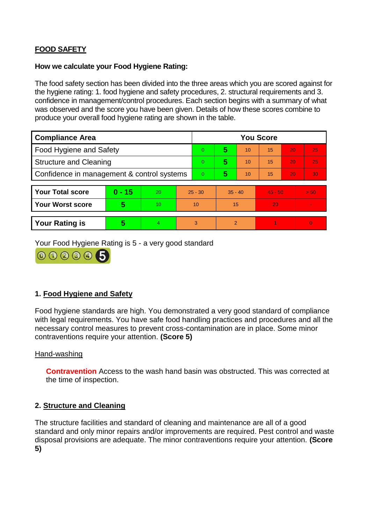# **FOOD SAFETY**

### **How we calculate your Food Hygiene Rating:**

The food safety section has been divided into the three areas which you are scored against for the hygiene rating: 1. food hygiene and safety procedures, 2. structural requirements and 3. confidence in management/control procedures. Each section begins with a summary of what was observed and the score you have been given. Details of how these scores combine to produce your overall food hygiene rating are shown in the table.

| <b>Compliance Area</b>                     |          |    |           | <b>You Score</b> |                |    |           |    |          |  |  |
|--------------------------------------------|----------|----|-----------|------------------|----------------|----|-----------|----|----------|--|--|
| Food Hygiene and Safety                    |          |    |           | $\Omega$         | 5              | 10 | 15        | 20 | 25       |  |  |
| <b>Structure and Cleaning</b>              |          |    | $\Omega$  | 5                | 10             | 15 | 20        | 25 |          |  |  |
| Confidence in management & control systems |          |    | $\Omega$  | 5                | 10             | 15 | 20        | 30 |          |  |  |
|                                            |          |    |           |                  |                |    |           |    |          |  |  |
| <b>Your Total score</b>                    | $0 - 15$ | 20 | $25 - 30$ |                  | $35 - 40$      |    | $45 - 50$ |    | > 50     |  |  |
| <b>Your Worst score</b>                    | 5        | 10 |           | 10               | 15             |    | 20        |    |          |  |  |
|                                            |          |    |           |                  |                |    |           |    |          |  |  |
| <b>Your Rating is</b>                      | 5        | 4  |           | 3                | $\overline{2}$ |    |           |    | $\Omega$ |  |  |

Your Food Hygiene Rating is 5 - a very good standard



# **1. Food Hygiene and Safety**

Food hygiene standards are high. You demonstrated a very good standard of compliance with legal requirements. You have safe food handling practices and procedures and all the necessary control measures to prevent cross-contamination are in place. Some minor contraventions require your attention. **(Score 5)**

### Hand-washing

**Contravention** Access to the wash hand basin was obstructed. This was corrected at the time of inspection.

### **2. Structure and Cleaning**

The structure facilities and standard of cleaning and maintenance are all of a good standard and only minor repairs and/or improvements are required. Pest control and waste disposal provisions are adequate. The minor contraventions require your attention. **(Score 5)**